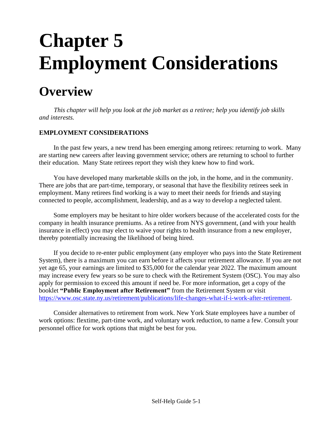# **Chapter 5 Employment Considerations**

## **Overview**

*This chapter will help you look at the job market as a retiree; help you identify job skills and interests.*

#### **EMPLOYMENT CONSIDERATIONS**

In the past few years, a new trend has been emerging among retirees: returning to work. Many are starting new careers after leaving government service; others are returning to school to further their education. Many State retirees report they wish they knew how to find work.

You have developed many marketable skills on the job, in the home, and in the community. There are jobs that are part-time, temporary, or seasonal that have the flexibility retirees seek in employment. Many retirees find working is a way to meet their needs for friends and staying connected to people, accomplishment, leadership, and as a way to develop a neglected talent.

Some employers may be hesitant to hire older workers because of the accelerated costs for the company in health insurance premiums. As a retiree from NYS government, (and with your health insurance in effect) you may elect to waive your rights to health insurance from a new employer, thereby potentially increasing the likelihood of being hired.

If you decide to re-enter public employment (any employer who pays into the State Retirement System), there is a maximum you can earn before it affects your retirement allowance. If you are not yet age 65, your earnings are limited to \$35,000 for the calendar year 2022. The maximum amount may increase every few years so be sure to check with the Retirement System (OSC). You may also apply for permission to exceed this amount if need be. For more information, get a copy of the booklet **"Public Employment after Retirement"** from the Retirement System or visit [https://www.osc.state.ny.us/retirement/publications/life-changes-what-if-i-work-after-retirement.](https://www.osc.state.ny.us/retirement/publications/life-changes-what-if-i-work-after-retirement)

Consider alternatives to retirement from work. New York State employees have a number of work options: flextime, part-time work, and voluntary work reduction, to name a few. Consult your personnel office for work options that might be best for you.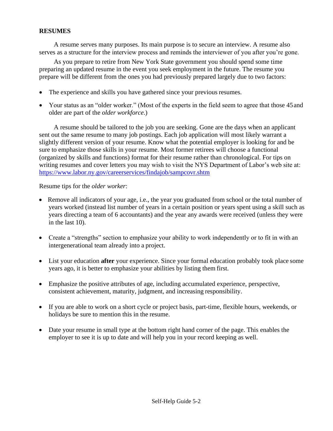#### **RESUMES**

A resume serves many purposes. Its main purpose is to secure an interview. A resume also serves as a structure for the interview process and reminds the interviewer of you after you're gone.

As you prepare to retire from New York State government you should spend some time preparing an updated resume in the event you seek employment in the future. The resume you prepare will be different from the ones you had previously prepared largely due to two factors:

- The experience and skills you have gathered since your previous resumes.
- Your status as an "older worker." (Most of the experts in the field seem to agree that those 45 and older are part of the *older workforce*.)

A resume should be tailored to the job you are seeking. Gone are the days when an applicant sent out the same resume to many job postings. Each job application will most likely warrant a slightly different version of your resume. Know what the potential employer is looking for and be sure to emphasize those skills in your resume. Most former retirees will choose a functional (organized by skills and functions) format for their resume rather than chronological. For tips on writing resumes and cover letters you may wish to visit the NYS Department of Labor's web site at: <https://www.labor.ny.gov/careerservices/findajob/sampcovr.shtm>

Resume tips for the *older worker*:

- Remove all indicators of your age, i.e., the year you graduated from school or the total number of years worked (instead list number of years in a certain position or years spent using a skill such as years directing a team of 6 accountants) and the year any awards were received (unless they were in the last 10).
- Create a "strengths" section to emphasize your ability to work independently or to fit in with an intergenerational team already into a project.
- List your education **after** your experience. Since your formal education probably took place some years ago, it is better to emphasize your abilities by listing them first.
- Emphasize the positive attributes of age, including accumulated experience, perspective, consistent achievement, maturity, judgment, and increasing responsibility.
- If you are able to work on a short cycle or project basis, part-time, flexible hours, weekends, or holidays be sure to mention this in the resume.
- Date your resume in small type at the bottom right hand corner of the page. This enables the employer to see it is up to date and will help you in your record keeping as well.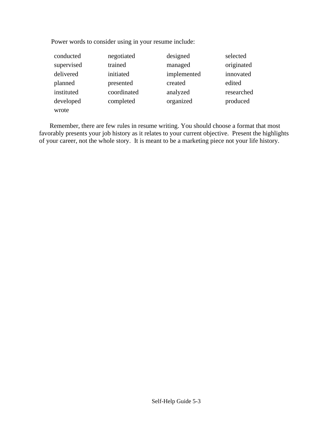Power words to consider using in your resume include:

| conducted  | negotiated  | designed    | selected   |
|------------|-------------|-------------|------------|
| supervised | trained     | managed     | originated |
| delivered  | initiated   | implemented | innovated  |
| planned    | presented   | created     | edited     |
| instituted | coordinated | analyzed    | researched |
| developed  | completed   | organized   | produced   |
| wrote      |             |             |            |

Remember, there are few rules in resume writing. You should choose a format that most favorably presents your job history as it relates to your current objective. Present the highlights of your career, not the whole story. It is meant to be a marketing piece not your life history.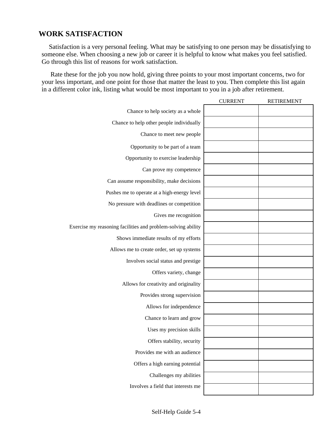#### **WORK SATISFACTION**

Satisfaction is a very personal feeling. What may be satisfying to one person may be dissatisfying to someone else. When choosing a new job or career it is helpful to know what makes you feel satisfied. Go through this list of reasons for work satisfaction.

Rate these for the job you now hold, giving three points to your most important concerns, two for your less important, and one point for those that matter the least to you. Then complete this list again in a different color ink, listing what would be most important to you in a job after retirement.

|                                                              | <b>CURRENT</b> | <b>RETIREMENT</b> |
|--------------------------------------------------------------|----------------|-------------------|
| Chance to help society as a whole                            |                |                   |
| Chance to help other people individually                     |                |                   |
| Chance to meet new people                                    |                |                   |
| Opportunity to be part of a team                             |                |                   |
| Opportunity to exercise leadership                           |                |                   |
| Can prove my competence                                      |                |                   |
| Can assume responsibility, make decisions                    |                |                   |
| Pushes me to operate at a high-energy level                  |                |                   |
| No pressure with deadlines or competition                    |                |                   |
| Gives me recognition                                         |                |                   |
| Exercise my reasoning facilities and problem-solving ability |                |                   |
| Shows immediate results of my efforts                        |                |                   |
| Allows me to create order, set up systems                    |                |                   |
| Involves social status and prestige                          |                |                   |
| Offers variety, change                                       |                |                   |
| Allows for creativity and originality                        |                |                   |
| Provides strong supervision                                  |                |                   |
| Allows for independence                                      |                |                   |
| Chance to learn and grow                                     |                |                   |
| Uses my precision skills                                     |                |                   |
| Offers stability, security                                   |                |                   |
| Provides me with an audience                                 |                |                   |
| Offers a high earning potential                              |                |                   |
| Challenges my abilities                                      |                |                   |
| Involves a field that interests me                           |                |                   |
|                                                              |                |                   |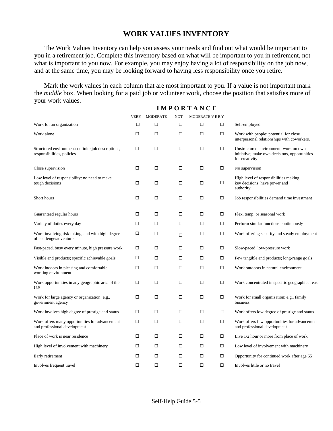#### **WORK VALUES INVENTORY**

The Work Values Inventory can help you assess your needs and find out what would be important to you in a retirement job. Complete this inventory based on what will be important to you in retirement, not what is important to you now. For example, you may enjoy having a lot of responsibility on the job now, and at the same time, you may be looking forward to having less responsibility once you retire.

Mark the work values in each column that are most important to you. If a value is not important mark the *middle* box. When looking for a paid job or volunteer work, choose the position that satisfies more of your work values.

|                                                                                  | VERY   | <b>MODERATE</b> | <b>NOT</b> | <b>MODERATE VERY</b> |        |                                                                                                          |
|----------------------------------------------------------------------------------|--------|-----------------|------------|----------------------|--------|----------------------------------------------------------------------------------------------------------|
| Work for an organization                                                         | $\Box$ | □               | □          | □                    | $\Box$ | Self-employed                                                                                            |
| Work alone                                                                       | □      | □               | □          | □                    | $\Box$ | Work with people; potential for close<br>interpersonal relationships with coworkers.                     |
| Structured environment: definite job descriptions,<br>responsibilities, policies | □      | □               | $\Box$     | □                    | $\Box$ | Unstructured environment; work on own<br>initiative; make own decisions, opportunities<br>for creativity |
| Close supervision                                                                | □      | $\Box$          | $\Box$     | $\Box$               | $\Box$ | No supervision                                                                                           |
| Low level of responsibility: no need to make<br>tough decisions                  | □      | □               | □          | □                    | $\Box$ | High level of responsibilities making<br>key decisions, have power and<br>authority                      |
| Short hours                                                                      | □      | □               | □          | □                    | □      | Job responsibilities demand time investment                                                              |
| Guaranteed regular hours                                                         | □      | □               | □          | □                    | $\Box$ | Flex, temp, or seasonal work                                                                             |
| Variety of duties every day                                                      | □      | □               | $\Box$     | $\Box$               | $\Box$ | Perform similar functions continuously                                                                   |
| Work involving risk-taking, and with high degree<br>of challenge/adventure       | □      | □               | $\Box$     | $\Box$               | $\Box$ | Work offering security and steady employment                                                             |
| Fast-paced, busy every minute, high pressure work                                | □      | $\Box$          | □          | $\Box$               | $\Box$ | Slow-paced, low-pressure work                                                                            |
| Visible end products; specific achievable goals                                  | □      | $\Box$          | $\Box$     | □                    | $\Box$ | Few tangible end products; long-range goals                                                              |
| Work indoors in pleasing and comfortable<br>working environment                  | □      | □               | □          | □                    | $\Box$ | Work outdoors in natural environment                                                                     |
| Work opportunities in any geographic area of the<br>U.S.                         | □      | $\Box$          | □          | $\Box$               | $\Box$ | Work concentrated in specific geographic areas                                                           |
| Work for large agency or organization; e.g.,<br>government agency                | □      | □               | □          | □                    | $\Box$ | Work for small organization; e.g., family<br>business                                                    |
| Work involves high degree of prestige and status                                 | □      | □               | $\Box$     | $\Box$               | □      | Work offers low degree of prestige and status                                                            |
| Work offers many opportunities for advancement<br>and professional development   | $\Box$ | $\Box$          | □          | $\Box$               | $\Box$ | Work offers few opportunities for advancement<br>and professional development                            |
| Place of work is near residence                                                  | □      | □               | □          | □                    | $\Box$ | Live 1/2 hour or more from place of work                                                                 |
| High level of involvement with machinery                                         | □      | □               | □          | □                    | $\Box$ | Low level of involvement with machinery                                                                  |
| Early retirement                                                                 | □      | □               | □          | □                    | $\Box$ | Opportunity for continued work after age 65                                                              |
| Involves frequent travel                                                         | □      | □               | $\Box$     | $\Box$               | $\Box$ | Involves little or no travel                                                                             |

#### **I M P O R T A N C E**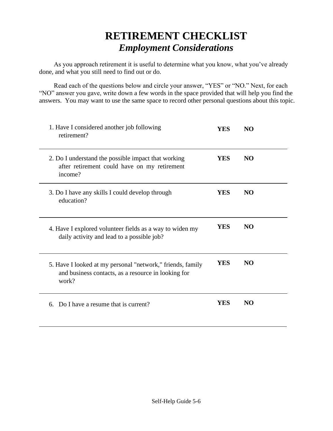## **RETIREMENT CHECKLIST**  *Employment Considerations*

As you approach retirement it is useful to determine what you know, what you've already done, and what you still need to find out or do.

Read each of the questions below and circle your answer, "YES" or "NO." Next, for each "NO" answer you gave, write down a few words in the space provided that will help you find the answers. You may want to use the same space to record other personal questions about this topic.

| 1. Have I considered another job following<br>retirement?                                                                  | <b>YES</b> | NO             |  |
|----------------------------------------------------------------------------------------------------------------------------|------------|----------------|--|
| 2. Do I understand the possible impact that working<br>after retirement could have on my retirement<br>income?             | <b>YES</b> | <b>NO</b>      |  |
| 3. Do I have any skills I could develop through<br>education?                                                              | <b>YES</b> | N <sub>O</sub> |  |
| 4. Have I explored volunteer fields as a way to widen my<br>daily activity and lead to a possible job?                     | <b>YES</b> | NO.            |  |
| 5. Have I looked at my personal "network," friends, family<br>and business contacts, as a resource in looking for<br>work? |            | <b>NO</b>      |  |
| Do I have a resume that is current?<br>6.                                                                                  | YES        | N <sub>O</sub> |  |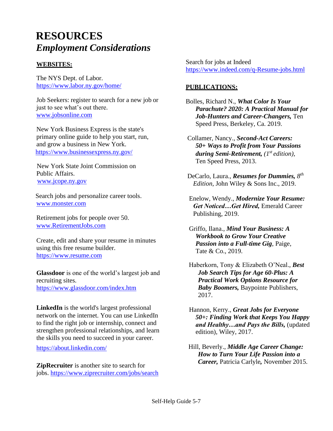### **RESOURCES**  *Employment Considerations*

#### **WEBSITES:**

The NYS Dept. of Labor. <https://www.labor.ny.gov/home/>

Job Seekers: register to search for a new job or just to see what's out there. [www.jobsonline.com](http://www.jobsonline.com/)

New York Business Express is the state's primary online guide to help you start, run, and grow a business in New York. <https://www.businessexpress.ny.gov/>

 New York State Joint Commission on Public Affairs. [www.jcope.ny.gov](http://www.jcope.ny.gov/)

Search jobs and personalize career tools. [www.monster.com](http://www.monster.com/)

Retirement jobs for people over 50. [www.RetirementJobs.com](http://www.retirementjobs.com/)

Create, edit and share your resume in minutes using this free resume builder. [https://www.resume.com](https://www.resume.com/)

**Glassdoor** is one of the world's largest job and recruiting sites. <https://www.glassdoor.com/index.htm>

**LinkedIn** is the world's largest professional network on the internet. You can use LinkedIn to find the right job or internship, connect and strengthen professional relationships, and learn the skills you need to succeed in your career.

<https://about.linkedin.com/>

**ZipRecruiter** is another site to search for jobs.<https://www.ziprecruiter.com/jobs/search>

Search for jobs at Indeed https://www.indeed.com/q-Resume-jobs.html

#### **PUBLICATIONS:**

Bolles, Richard N., *What Color Is Your Parachute? 2020: A Practical Manual for Job-Hunters and Career-Changers,* Ten Speed Press, Berkeley, Ca. 2019.

Collamer, Nancy., *Second-Act Careers: 50+ Ways to Profit from Your Passions during Semi-Retirement, (1st edition),*  Ten Speed Press, 2013.

DeCarlo, Laura., *Resumes for Dummies, 8 th Edition,* John Wiley & Sons Inc., 2019.

 Enelow, Wendy., *Modernize Your Resume: Get Noticed…Get Hired,* Emerald Career Publishing, 2019.

 Griffo, Ilana., *Mind Your Business: A Workbook to Grow Your Creative Passion into a Full-time Gig*, Paige, Tate & Co., 2019.

 Haberkorn, Tony & Elizabeth O'Neal., *Best Job Search Tips for Age 60-Plus: A Practical Work Options Resource for Baby Boomers,* Baypointe Publishers, 2017.

 Hannon, Kerry., *Great Jobs for Everyone 50+: Finding Work that Keeps You Happy and Healthy…and Pays the Bills,* (updated edition), Wiley, 2017.

Hill, Beverly., *Middle Age Career Change: How to Turn Your Life Passion into a Career,* Patricia Carlyle*,* November 2015.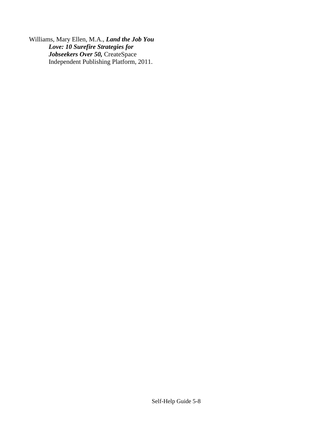Williams, Mary Ellen, M.A., *Land the Job You Love: 10 Surefire Strategies for Jobseekers Over 50,* CreateSpace Independent Publishing Platform, 2011.